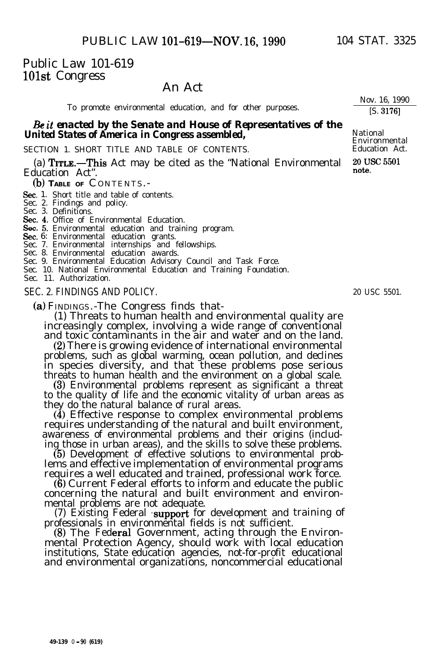# Public Law 101-619 1Olst Congress

# An Act

To promote environmental education, and for other purposes.

### & it *enacted by the Senate and House of Representatives of the United States of America in Congress assembled,* **Mational Mational Property America in Congress assembled,**

SECTION 1. SHORT TITLE AND TABLE OF CONTENTS.

(a)  $TrrLE$ . This Act may be cited as the "National Environmental Education Act".

01) **TABLE OF** C ONTENTS.-

Sec. 1. Short title and table of contents.

Sec. 2. Findings and policy. Sec. 3. Definitions.

Sec. 4. Office of Environmental Education.

Sec. 5. Environmental education and training program.<br>Sec. 5. Environmental education and training program.

**Sec.** 6: Environmental education grants.<br>Sec. 7. Environmental internships and fellowships.

Sec. 8. Environmental education awards. Sec. 9. Environmental Education Advisory Council and Task Force.

Sec. 10. National Environmental Education and Training Foundation.

Sec. 11. Authorization.

#### SEC. 2. FINDINGS AND POLICY.

(a) FINDINGS.-The Congress finds that-

(1) Threats to human health and environmental quality are increasingly complex, involving a wide range of conventional and toxic contaminants in the air and water and on the land.

(2) There is growing evidence of international environmental problems, such as global warming, ocean pollution, and declines in species diversity, and that these problems pose serious threats to human health and the environment on a global scale.

(3) Environmental problems represent as significant a threat to the quality of life and the economic vitality of urban areas as they do the natural balance of rural areas.

(4) Effective response to complex environmental problems requires understanding of the natural and built environment, awareness of environmental problems and their origins (including those in urban areas), and the skills to solve these problems.

(5) Development of effective solutions to environmental problems and effective implementation of environmental programs requires a well educated and trained, professional work force.

(6) Current Federal efforts to inform and educate the public concerning the natural and built environment and environmental problems are not adequate.

(7) Existing Federal support for development and training of professionals in environmental fields is not sufficient.

(8) The Federal Government, acting through the Environmental Protection Agency, should work with local education institutions, State education agencies, not-for-profit educational and environmental organizations, noncommercial educational

Nov. 16, 1990 [S. 31761

Environmental<br>Education Act.

20 USC 5501<br>note.

20 USC 5501.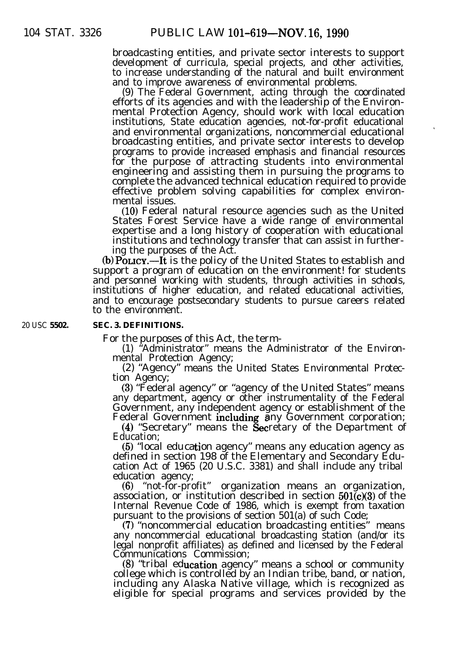broadcasting entities, and private sector interests to support development of curricula, special projects, and other activities, to increase understanding of the natural and built environment and to improve awareness of environmental problems.

(9) The Federal Government, acting through the coordinated efforts of its agencies and with the leadership of the Environmental Protection Agency, should work with local education institutions, State education agencies, not-for-profit educational and environmental organizations, noncommercial educational broadcasting entities, and private sector interests to develop programs to provide increased emphasis and financial resources for the purpose of attracting students into environmental engineering and assisting them in pursuing the programs to complete the advanced technical education required to provide effective problem solving capabilities for complex environmental issues.

(10) Federal natural resource agencies such as the United States Forest Service have a wide range of environmental expertise and a long history of cooperation with educational institutions and technology transfer that can assist in furthering the purposes of the Act.

(b) POLICY.—It is the policy of the United States to establish and support a program of education on the environment! for students and personnel working with students, through activities in schools, institutions of higher education, and related educational activities, and to encourage postsecondary students to pursue careers related to the environment.

20 USC **5502. SEC. 3. DEFINITIONS.**

For the purposes of this Act, the term-

(1) "Administrator" means the Administrator of the Environmental Protection Agency;

(2) "Agency" means the United States Environmental Protection Agency;

(3) "Federal agency" or "agency of the United States" means any department, agency or other instrumentality of the Federal Government, any independent agency or establishment of the Federal Government including any Government corporation;

(4) "Secretary" means the Secretary of the Department of Education;

 $(5)$  "local education agency" means any education agency as defined in section 198 of the Elementary and Secondary Education Act of 1965 (20 U.S.C. 3381) and shall include any tribal education agency;

(6) "not-for-profit" organization means an organization, association, or institution described in section  $501(c)(3)$  of the Internal Revenue Code of 1986, which is exempt from taxation pursuant to the provisions of section 501(a) of such Code;

(7) "noncommercial education broadcasting entities" means any noncommercial educational broadcasting station (and/or its legal nonprofit affiliates) as defined and licensed by the Federal Communications Commission;

(8) "tribal education agency" means a school or community college which is controlled by an Indian tribe, band, or nation, including any Alaska Native village, which is recognized as eligible for special programs and services provided by the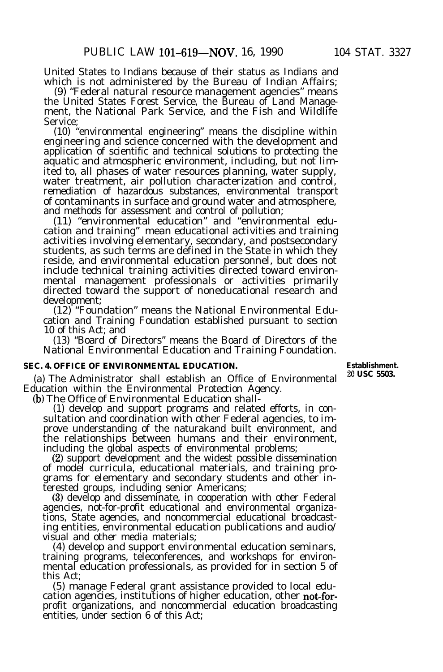United States to Indians because of their status as Indians and which is not administered by the Bureau of Indian Affairs;

(9) "Federal natural resource management agencies" means the United States Forest Service, the Bureau of Land Management, the National Park Service, and the Fish and Wildlife Service;

(10) "environmental engineering" means the discipline within engineering and science concerned with the development and application of scientific and technical solutions to protecting the aquatic and atmospheric environment, including, but not limited to, all phases of water resources planning, water supply, water treatment, air pollution characterization and control, remediation of hazardous substances, environmental transport of contaminants in surface and ground water and atmosphere, and methods for assessment and control of pollution;

(11) "environmental education" and "environmental education and training" mean educational activities and training activities involving elementary, secondary, and postsecondary students, as such terms are defined in the State in which they reside, and environmental education personnel, but does not include technical training activities directed toward environmental management professionals or activities primarily directed toward the support of noneducational research and development;

(12) "Foundation" means the National Environmental Education and Training Foundation established pursuant to section 10 of this Act; and

(13) "Board of Directors" means the Board of Directors of the National Environmental Education and Training Foundation.

# **SEC. 4. OFFICE OF ENVIRONMENTAL EDUCATION. Establishment.**<br>  $\begin{array}{ccc}\n\bullet & \bullet & \bullet & \bullet \\
\bullet & \bullet & \bullet & \bullet & \bullet\n\end{array}$

(a) The Administrator shall establish an Office of Environmental Education within the Environmental Protection Agency.

(b) The Office of Environmental Education shall-

(1) develop and support programs and related efforts, in consultation and coordination with other Federal agencies, to improve understanding of the naturakand built environment, and the relationships between humans and their environment, including the global aspects of environmental problems;

(2) support development and the widest possible dissemination of model curricula, educational materials, and training programs for elementary and secondary students and other interested groups, including senior Americans;

(3) develop and disseminate, in cooperation with other Federal agencies, not-for-profit educational and environmental organizations, State agencies, and noncommercial educational broadcasting entities, environmental education publications and audio/ visual and other media materials;

(4) develop and support environmental education seminars, training programs, teleconferences, and workshops for environmental education professionals, as provided for in section 5 of this Act;

(5) manage Federal grant assistance provided to local education agencies, institutions of higher education, other not-forprofit organizations, and noncommercial education broadcasting entities, under section 6 of this Act;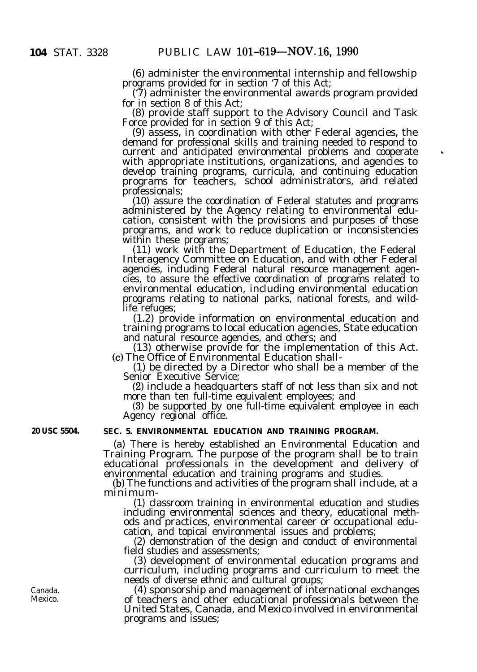(6) administer the environmental internship and fellowship programs provided for in section '7 of this Act;

('7) administer the environmental awards program provided for in section 8 of this Act;

(8) provide staff support to the Advisory Council and Task Force provided for in section 9 of this Act:

(9) assess, in coordination with other Federal agencies, the demand for professional skills and training needed to respond to current and anticipated environmental problems and cooperate with appropriate institutions, organizations, and agencies to develop training programs, curricula, and continuing education programs for teachers, school administrators, and related professionals;

(10) assure the coordination of Federal statutes and programs administered by the Agency relating to environmental education, consistent with the provisions and purposes of those programs, and work to reduce duplication or inconsistencies within these programs;

(11) work with the Department of Education, the Federal Interagency Committee on Education, and with other Federal agencies, including Federal natural resource management agencies, to assure the effective coordination of programs related to environmental education, including environmental education programs relating to national parks, national forests, and wildlife refuges;

(1.2) provide information on environmental education and training programs to local education agencies, State education and natural resource agencies, and others; and

(13) otherwise provide for the implementation of this Act. (c) The Office of Environmental Education shall-

(1) be directed by a Director who shall be a member of the Senior Executive Service;

(2) include a headquarters staff of not less than six and not more than ten full-time equivalent employees; and

(3) be supported by one full-time equivalent employee in each Agency regional office.

## **20 USC 5504. SEC. 5. ENVIRONMENTAL EDUCATION AND TRAINING PROGRAM.**

(a) There is hereby established an Environmental Education and Training Program. The purpose of the program shall be to train educational professionals in the development and delivery of environmental education and training programs and studies.

(b) The functions and activities of the program shall include, at a minimum-

(1) classroom training in environmental education and studies including environmental sciences and theory, educational methods and practices, environmental career or occupational education, and topical environmental issues and problems;

(2) demonstration of the design and conduct of environmental field studies and assessments;

(3) development of environmental education programs and curriculum, including programs and curriculum to meet the needs of diverse ethnic and cultural groups;

(4) sponsorship and management of international exchanges of teachers and other educational professionals between the United States, Canada, and Mexico involved in environmental programs and issues;

Canada. Mexico.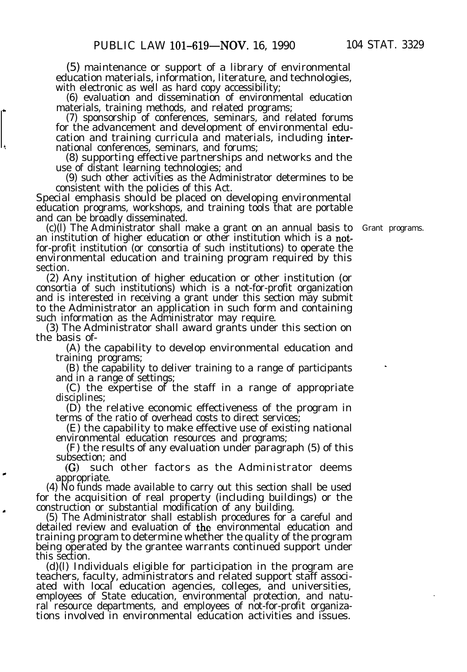(5) maintenance or support of a library of environmental education materials, information, literature, and technologies, with electronic as well as hard copy accessibility;

(6) evaluation and dissemination of environmental education materials, training methods, and related programs;

(7) sponsorship of conferences, seminars, and related forums for the advancement and development of environmental education and training curricula and materials, including interth national conferences, seminars, and forums;

(8) supporting effective partnerships and networks and the use of distant learning technologies; and

(9) such other activities as the Administrator determines to be consistent with the policies of this Act.

Special emphasis should be placed on developing environmental education programs, workshops, and training tools that are portable and can be broadly disseminated.

(c)(l) The Administrator shall make a grant on an annual basis to Grant programs. an institution of higher education or other institution which is a notfor-profit institution (or consortia of such institutions) to operate the environmental education and training program required by this section.

(2) Any institution of higher education or other institution (or consortia of such institutions) which is a not-for-profit organization and is interested in receiving a grant under this section may submit to the Administrator an application in such form and containing such information as the Administrator may require.

(3) The Administrator shall award grants under this section on the basis of-

(A) the capability to develop environmental education and training programs;

(B) the capability to deliver training to a range of participants and in a range of settings;

(C) the expertise of the staff in a range of appropriate disciplines;

(D) the relative economic effectiveness of the program in terms of the ratio of overhead costs to direct services;

(E) the capability to make effective use of existing national environmental education resources and programs;

(F) the results of any evaluation under paragraph (5) of this subsection; and

(C) such other factors as the Administrator deems \* appropriate.

(4) No funds made available to carry out this section shall be used for the acquisition of real property (including buildings) or the . construction or substantial modification of any building.

(5) The Administrator shall establish procedures for a careful and detailed review and evaluation of the environmental education and training program to determine whether the quality of the program being operated by the grantee warrants continued support under this section.

(d)(l) Individuals eligible for participation in the program are teachers, faculty, administrators and related support staff associated with local education agencies, colleges, and universities, employees of State education, environmental protection, and natural resource departments, and employees of not-for-profit organizations involved in environmental education activities and issues.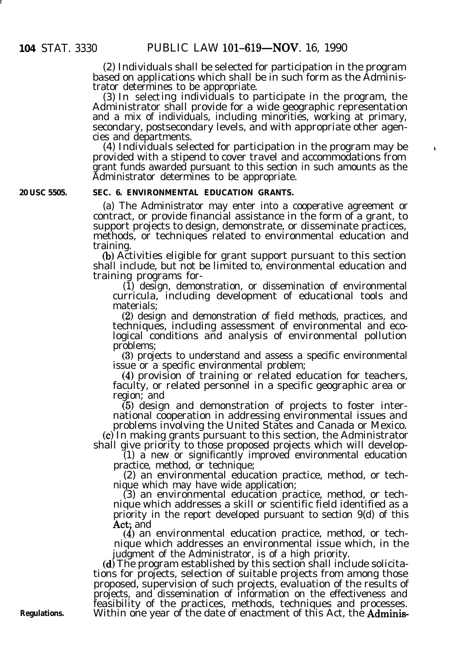(2) Individuals shall be selected for participation in the program based on applications which shall be in such form as the Administrator determines to be appropriate.

(3) In selecting individuals to participate in the program, the Administrator shall provide for a wide geographic representation and a mix of individuals, including minorities, working at primary, secondary, postsecondary levels, and with appropriate other agencies and departments.

(4) Individuals selected for participation in the program may be provided with a stipend to cover travel and accommodations from grant funds awarded pursuant to this section in such amounts as the Administrator determines to be appropriate.

 $\ddot{\phantom{0}}$ 

### **20 USC 5505. SEC. 6. ENVIRONMENTAL EDUCATION GRANTS.**

(a) The Administrator may enter into a cooperative agreement or contract, or provide financial assistance in the form of a grant, to support projects to design, demonstrate, or disseminate practices, methods, or techniques related to environmental education and training.

(b) Activities eligible for grant support pursuant to this section shall include, but not be limited to, environmental education and training programs for-

(1) design, demonstration, or dissemination of environmental curricula, including development of educational tools and materials;

(2) design and demonstration of field methods, practices, and techniques, including assessment of environmental and ecological conditions and analysis of environmental pollution problems;

(3) projects to understand and assess a specific environmental issue or a specific environmental problem;

(4) provision of training or related education for teachers, faculty, or related personnel in a specific geographic area or region; and

(5) design and demonstration of projects to foster international cooperation in addressing environmental issues and problems involving the United States and Canada or Mexico.

(c) In making grants pursuant to this section, the Administrator shall give priority to those proposed projects which will develop-

(1) a new or significantly improved environmental education practice, method, or technique;

(2) an environmental education practice, method, or technique which may have wide application;

(3) an environmental education practice, method, or technique which addresses a skill or scientific field identified as a priority in the report developed pursuant to section 9(d) of this Act; and

(4) an environmental education practice, method, or technique which addresses an environmental issue which, in the judgment of the Administrator, is of a high priority.

(d) The program established by this section shall include solicitations for projects, selection of suitable projects from among those proposed, supervision of such projects, evaluation of the results of projects, and dissemination of information on the effectiveness and feasibility of the practices, methods, techniques and processes. Within one year of the date of enactment of this Act, the **Adminis-**

**Regulations.**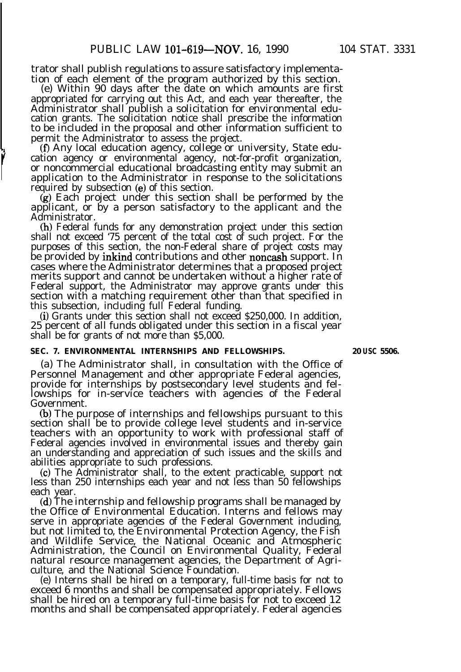trator shall publish regulations to assure satisfactory implementation of each element of the program authorized by this section.

(e) Within 90 days after the date on which amounts are first appropriated for carrying out this Act, and each year thereafter, the Administrator shall publish a solicitation for environmental education grants. The solicitation notice shall prescribe the information to be included in the proposal and other information sufficient to permit the Administrator to assess the project.

(f) Any local education agency, college or university, State education agency or environmental agency, not-for-profit organization, or noncommercial educational broadcasting entity may submit an application to the Administrator in response to the solicitations required by subsection (e) of this section.

(g) Each project under this section shall be performed by the applicant, or by a person satisfactory to the applicant and the Administrator.

(h) Federal funds for any demonstration project under this section shall not exceed '75 percent of the total cost of such project. For the purposes of this section, the non-Federal share of project costs may be provided by inkind contributions and other noncash support. In cases where the Administrator determines that a proposed project merits support and cannot be undertaken without a higher rate of Federal support, the Administrator may approve grants under this section with a matching requirement other than that specified in this subsection, including full Federal funding.

(i) Grants under this section shall not exceed \$250,000. In addition, 25 percent of all funds obligated under this section in a fiscal year shall be for grants of not more than \$5,000.

#### **SEC. 7. ENVIRONMENTAL INTERNSHIPS AND FELLOWSHIPS. 20 USC 5506.**

(a) The Administrator shall, in consultation with the Office of Personnel Management and other appropriate Federal agencies, provide for internships by postsecondary level students and fellowships for in-service teachers with agencies of the Federal Government.

(b) The purpose of internships and fellowships pursuant to this section shall be to provide college level students and in-service teachers with an opportunity to work with professional staff of Federal agencies involved in environmental issues and thereby gain an understanding and appreciation of such issues and the skills and abilities appropriate to such professions.

(4 The Administrator shall, to the extent practicable, support not less than 250 internships each year and not less than 50 fellowships each year.

(d) The internship and fellowship programs shall be managed by the Office of Environmental Education. Interns and fellows may serve in appropriate agencies of the Federal Government including, but not limited to, the Environmental Protection Agency, the Fish and Wildlife Service, the National Oceanic and Atmospheric Administration, the Council on Environmental Quality, Federal natural resource management agencies, the Department of Agriculture, and the National Science Foundation.

(e) Interns shall be hired on a temporary, full-time basis for not to exceed 6 months and shall be compensated appropriately. Fellows shall be hired on a temporary full-time basis for not to exceed 12 months and shall be compensated appropriately. Federal agencies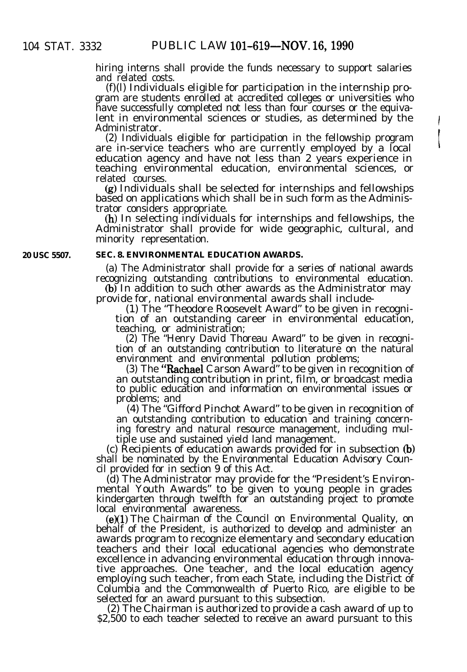hiring interns shall provide the funds necessary to support salaries and related costs.

(f)(l) Individuals eligible for participation in the internship program are students enrolled at accredited colleges or universities who have successfully completed not less than four courses or the equivalent in environmental sciences or studies, as determined by the Administrator.

(2) Individuals eligible for participation in the fellowship program are in-service teachers who are currently employed by a local education agency and have not less than 2 years experience in teaching environmental education, environmental sciences, or related courses.

(g) Individuals shall be selected for internships and fellowships based on applications which shall be in such form as the Administrator considers appropriate.

(h) In selecting individuals for internships and fellowships, the Administrator shall provide for wide geographic, cultural, and minority representation.

**20 USC 5507.**

#### **SEC. 8. ENVIRONMENTAL EDUCATION AWARDS.**

(a) The Administrator shall provide for a series of national awards recognizing outstanding contributions to environmental education.

(b) In addition to such other awards as the Administrator may provide for, national environmental awards shall include-

(1) The "Theodore Roosevelt Award" to be given in recognition of an outstanding career in environmental education, teaching, or administration;

(2) The "Henry David Thoreau Award" to be given in recognition of an outstanding contribution to literature on the natural environment and environmental pollution problems;

(3) The "Rachael Carson Award" to be given in recognition of an outstanding contribution in print, film, or broadcast media to public education and information on environmental issues or problems; and

(4) The "Gifford Pinchot Award" to be given in recognition of an outstanding contribution to education and training concerning forestry and natural resource management, including multiple use and sustained yield land management.

(c) Recipients of education awards provided for in subsection (b) shall be nominated by the Environmental Education Advisory Council provided for in section 9 of this Act.

(d) The Administrator may provide for the "President's Environmental Youth Awards" to be given to young people in grades kindergarten through twelfth for an outstanding project to promote local environmental awareness.

(e)(l) The Chairman of the Council on Environmental Quality, on behalf of the President, is authorized to develop and administer an awards program to recognize elementary and secondary education teachers and their local educational agencies who demonstrate excellence in advancing environmental education through innovative approaches. One teacher, and the local education agency employing such teacher, from each State, including the District of Columbia and the Commonwealth of Puerto Rico, are eligible to be selected for an award pursuant to this subsection.

(2) The Chairman is authorized to provide a cash award of up to \$2,500 to each teacher selected to receive an award pursuant to this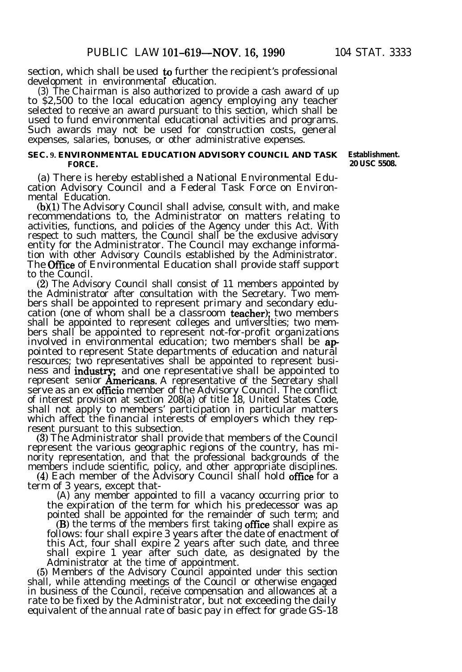section, which shall be used to further the recipient's professional<br>development in environmental education.

(3) The Chairman is also authorized to provide a cash award of up to \$2,500 to the local education agency employing any teacher selected to receive an award pursuant to this section, which shall be used to fund environmental educational activities and programs. Such awards may not be used for construction costs, general expenses, salaries, bonuses, or other administrative expenses.

#### **SEC. 9. ENVIRONMENTAL EDUCATION ADVISORY COUNCIL AND TASK FORCE.**

(a) There is hereby established a National Environmental Education Advisory Council and a Federal Task Force on Environmental Education.

(b)(l) The Advisory Council shall advise, consult with, and make recommendations to, the Administrator on matters relating to activities, functions, and policies of the Agency under this Act. With respect to such matters, the Council shall be the exclusive advisory entity for the Administrator. The Council may exchange information with other Advisory Councils established by the Administrator. The **Office** of Environmental Education shall provide staff support to the Council.

(2) The Advisory Council shall consist of 11 members appointed by the Administrator after consultation with the Secretary. Two members shall be appointed to represent primary and secondary education (one of whom shall be a classroom teacher); two members shall be appointed to represent colleges and universities; two members shall be appointed to represent not-for-profit organizations involved in environmental education; two members shall be **ap**pointed to represent State departments of education and natural resources; two representatives shall be appointed to represent business and industry; and one representative shall be appointed to ness and **industry**; and one representative shall be appointed to<br>represent senior **Americans**. A representative of the Secretary shall serve as an ex officio member of the Advisory Council. The conflict of interest provision at section 208(a) of title 18, United States Code, shall not apply to members' participation in particular matters which affect the financial interests of employers which they represent pursuant to this subsection.

(3) The Administrator shall provide that members of the Council represent the various geographic regions of the country, has minority representation, and that the professional backgrounds of the members include scientific, policy, and other appropriate disciplines.

(4) Each member of the Advisory Council shall hold office for a term of 3 years, except that-

(A) any member appointed to fill a vacancy occurring prior to the expiration of the term for which his predecessor was ap pointed shall be appointed for the remainder of such term; and

(B) the terms of the members first taking office shall expire as follows: four shall expire 3 years after the date of enactment of this Act, four shall expire 2 years after such date, and three shall expire 1 year after such date, as designated by the Administrator at the time of appointment.

(5) Members of the Advisory Council appointed under this section shall, while attending meetings of the Council or otherwise engaged in business of the Council, receive compensation and allowances at a rate to be fixed by the Administrator, but not exceeding the daily equivalent of the annual rate of basic pay in effect for grade GS-18

**Establishment. 20 USC 5508.**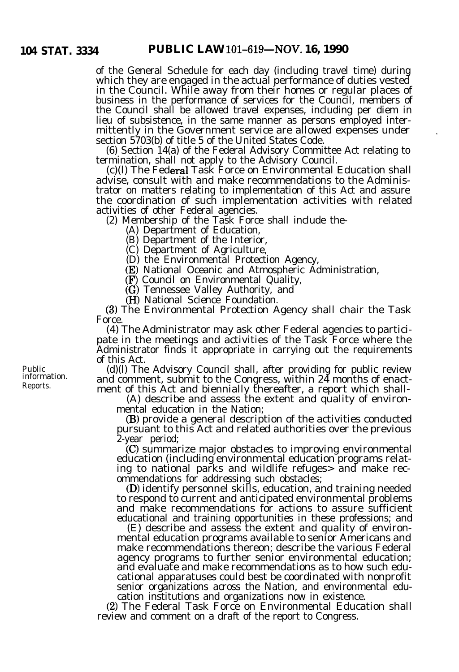of the General Schedule for each day (including travel time) during which they are engaged in the actual performance of duties vested in the Council. While away from their homes or regular places of business in the performance of services for the Council, members of the Council shall be allowed travel expenses, including per diem in lieu of subsistence, in the same manner as persons employed intermittently in the Government service are allowed expenses under section 5703(b) of title 5 of the United States Code.

(6) Section 14(a) of the Federal Advisory Committee Act relating to termination, shall not apply to the Advisory Council.

(c)(l) The Federa1 Task Force on Environmental Education shall advise, consult with and make recommendations to the Administrator on matters relating to implementation of this Act and assure the coordination of such implementation activities with related activities of other Federal agencies.

(2) Membership of the Task Force shall include the-

(A) Department of Education,

(B) Department of the Interior,

(C) Department of Agriculture,

(D) the Environmental Protection Agency,

(E) National Oceanic and Atmospheric Administration,

(F) Council on Environmental Quality,

(G) Tennessee Valley Authority, and

(H) National Science Foundation.

(3) The Environmental Protection Agency shall chair the Task Force.

(4) The Administrator may ask other Federal agencies to participate in the meetings and activities of the Task Force where the Administrator finds it appropriate in carrying out the requirements of this Act.

(d)(l) The Advisory Council shall, after providing for public review and comment, submit to the Congress, within  $2\overline{4}$  months of enactment of this Act and biennially thereafter, a report which shall-

(A) describe and assess the extent and quality of environmental education in the Nation;

(B) provide a general description of the activities conducted pursuant to this Act and related authorities over the previous 2-year period;

(C) summarize major obstacles to improving environmental education (including environmental education programs relating to national parks and wildlife refuges> and make recommendations for addressing such obstacles;

(D) identify personnel skills, education, and training needed to respond to current and anticipated environmental problems and make recommendations for actions to assure sufficient educational and training opportunities in these professions; and

(E) describe and assess the extent and quality of environmental education programs available to senior Americans and make recommendations thereon; describe the various Federal agency programs to further senior environmental education; and evaluate and make recommendations as to how such educational apparatuses could best be coordinated with nonprofit senior organizations across the Nation, and environmental education institutions and organizations now in existence.

(2) The Federal Task Force on Environmental Education shall review and comment on a draft of the report to Congress.

Public information. Reports.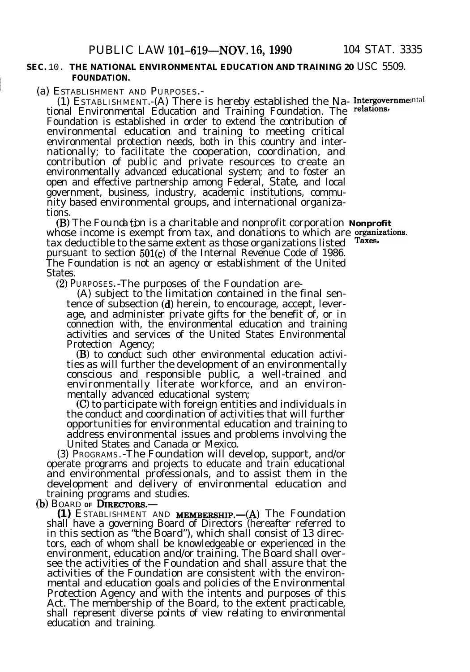#### **SEC.** 10. **THE NATIONAL ENVIRONMENTAL EDUCATION AND TRAINING 20** USC 5509. **FOUNDATION.**

(a) ESTABLISHMENT AND PURPOSES.-

(1) ESTABLISHMENT.-(A) There is hereby established the Na- Intergovernmental tional Environmental Education and Training Foundation. The relations, Foundation is established in order to extend the contribution of environmental education and training to meeting critical environmental protection needs, both in this country and internationally; to facilitate the cooperation, coordination, and contribution of public and private resources to create an environmentally advanced educational system; and to foster an open and effective partnership among Federal, State, and local government, business, industry, academic institutions, community based environmental groups, and international organizations.

(B) The Founda tion is a charitable and nonprofit corporation Nonprofit whose income is exempt from tax, and donations to which are grainizations tax deductible to the same extent as those organizations listed laxes. pursuant to section 501(c) of the Internal Revenue Code of 1986. The Foundation is not an agency or establishment of the United States.

(2) PURPOSES.-The purposes of the Foundation are-

(A) subject to the limitation contained in the final sentence of subsection (d) herein, to encourage, accept, leverage, and administer private gifts for the benefit of, or in connection with, the environmental education and training activities and services of the United States Environmental Protection Agency;

(B) to conduct such other environmental education activities as will further the development of an environmentally conscious and responsible public, a well-trained and environmentally literate workforce, and an environmentally advanced educational system;

(C) to participate with foreign entities and individuals in the conduct and coordination of activities that will further opportunities for environmental education and training to address environmental issues and problems involving the United States and Canada or Mexico.

(3) PROGRAMS.-The Foundation will develop, support, and/or operate programs and projects to educate and train educational and environmental professionals, and to assist them in the development and delivery of environmental education and training programs and studies.

(b) BOARD OF **DIRECTORS.** 

**(1)** ESTABLISHMENT AND **MEMBERSHIP.** - (A) The Foundation shall have a governing Board of Directors (hereafter referred to in this section as "the Board"), which shall consist of 13 directors, each of whom shall be knowledgeable or experienced in the environment, education and/or training. The Board shall oversee the activities of the Foundation and shall assure that the activities of the Foundation are consistent with the environmental and education goals and policies of the Environmental Protection Agency and with the intents and purposes of this Act. The membership of the Board, to the extent practicable, shall represent diverse points of view relating to environmental education and training.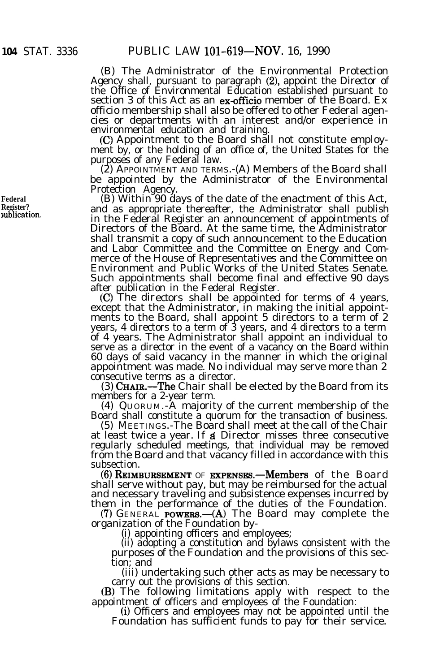(B) The Administrator of the Environmental Protection Agency shall, pursuant to paragraph (2), appoint the Director of the Office of Environmental Education established pursuant to section 3 of this Act as an ex-officio member of the Board. Ex officio membership shall also be offered to other Federal agencies or departments with an interest and/or experience in environmental education and training.

(C) Appointment to the Board shall not constitute employment by, or the holding of an office of, the United States for the purposes of any Federal law.

(2) APPOINTMENT AND TERMS.-(A) Members of the Board shall be appointed by the Administrator of the Environmental Protection Agency.

(B) Within 90 days of the date of the enactment of this Act, and as appropriate thereafter, the Administrator shall publish in the Federal Register an announcement of appointments of Directors of the Board. At the same time, the Administrator shall transmit a copy of such announcement to the Education and Labor Committee and the Committee on Energy and Commerce of the House of Representatives and the Committee on Environment and Public Works of the United States Senate. Such appointments shall become final and effective 90 days after publication in the Federal Register.

(C) The directors shall be appointed for terms of 4 years, except that the Administrator, in making the initial appointments to the Board, shall appoint 5 directors to a term of 2 years, 4 directors to a term of 3 years, and 4 directors to a term of 4 years. The Administrator shall appoint an individual to serve as a director in the event of a vacancy on the Board within 60 days of said vacancy in the manner in which the original appointment was made. No individual may serve more than 2 consecutive terms as a director.

(3) CHAIR.—The Chair shall be elected by the Board from its members for a 2-year term.

(4) QUORUM.-A majority of the current membership of the Board shall constitute a quorum for the transaction of business.

(5) MEETINGS.-The Board shall meet at the call of the Chair at least twice a year. If a Director misses three consecutive regularly scheduled meetings, that individual may be removed from the Board and that vacancy filled in accordance with this subsection.

 $(6)$  REIMBURSEMENT OF EXPENSES.—Members of the Board shall serve without pay, but may be reimbursed for the actual and necessary traveling and subsistence expenses incurred by them in the performance of the duties of the Foundation.

 $(7)$  GENERAL **POWERS.**—(A) The Board may complete the organization of the Foundation by-

(i) appointing officers and employees;

(ii) adopting a constitution and bylaws consistent with the purposes of the Foundation and the provisions of this section; and

(iii) undertaking such other acts as may be necessary to carry out the provisions of this section.

(B) The following limitations apply with respect to the appointment of officers and employees of the Foundation:

(i) Officers and employees may not be appointed until the Foundation has sufficient funds to pay for their service.

**Federal Register? mblicatlon.**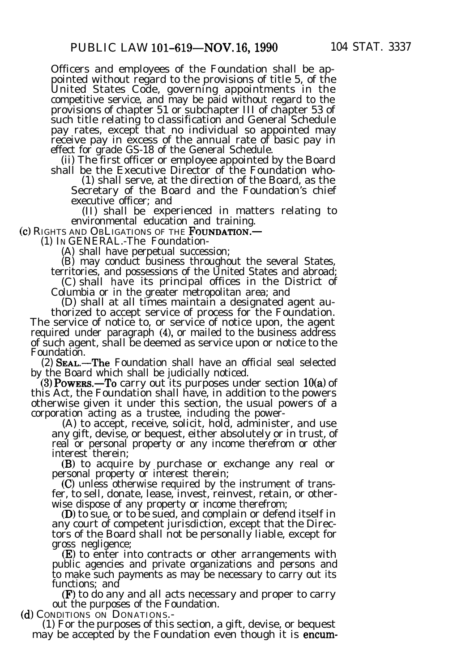Officers and employees of the Foundation shall be appointed without regard to the provisions of title 5, of the United States Code, governing appointments in the competitive service, and may be paid without regard to the provisions of chapter 51 or subchapter III of chapter 53 of such title relating to classification and General Schedule pay rates, except that no individual so appointed may receive pay in excess of the annual rate of basic pay in effect for grade GS-18 of the General Schedule.

(ii) The first officer or employee appointed by the Board shall be the Executive Director of the Foundation who-

(1) shall serve, at the direction of the Board, as the Secretary of the Board and the Foundation's chief executive officer; and

(II) shall be experienced in matters relating to environmental education and training.

(c) RIGHTS AND OBLIGATIONS OF THE FOUNDATION.-

(1) IN GENERAL.-The Foundation-

(A) shall have perpetual succession;

(B) may conduct business throughout the several States,

territories, and possessions of the United States and abroad; (C) shall have its principal offices in the District of

Columbia or in the greater metropolitan area; and

(D) shall at all times maintain a designated agent authorized to accept service of process for the Foundation.

The service of notice to, or service of notice upon, the agent required under paragraph (4), or mailed to the business address of such agent, shall be deemed as service upon or notice to the Foundation.

(2) SEAL.-The Foundation shall have an official seal selected by the Board which shall be judicially noticed.

(3) Powers.—To carry out its purposes under section  $10(a)$  of this Act, the Foundation shall have, in addition to the powers otherwise given it under this section, the usual powers of a corporation acting as a trustee, including the power-

(A) to accept, receive, solicit, hold, administer, and use any gift, devise, or bequest, either absolutely or in trust, of real or personal property or any income therefrom or other interest therein;

(B) to acquire by purchase or exchange any real or personal property or interest therein;

(0 unless otherwise required by the instrument of transfer, to sell, donate, lease, invest, reinvest, retain, or otherwise dispose of any property or income therefrom;

(D) to sue, or to be sued, and complain or defend itself in any court of competent jurisdiction, except that the Directors of the Board shall not be personally liable, except for gross negligence;

(E) to enter into contracts or other arrangements with public agencies and private organizations and persons and to make such payments as may be necessary to carry out its functions; and

(F) to do any and all acts necessary and proper to carry out the purposes of the Foundation.

(d) CONDITIONS ON DONATIONS.-

(1) For the purposes of this section, a gift, devise, or bequest may be accepted by the Foundation even though it is encum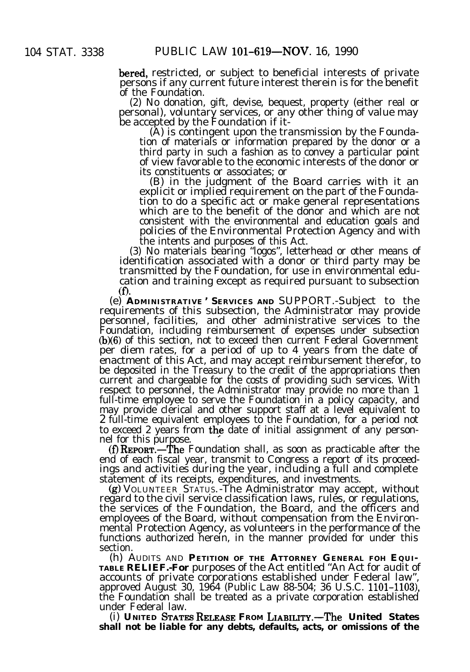bered, restricted, or subject to beneficial interests of private persons if any current future interest therein is for the benefit of the Foundation.

(2) No donation, gift, devise, bequest, property (either real or personal), voluntary services, or any other thing of value may be accepted by the Foundation if it-

(A) is contingent upon the transmission by the Foundation of materials or information prepared by the donor or a third party in such a fashion as to convey a particular point of view favorable to the economic interests of the donor or its constituents or associates; or

(B) in the judgment of the Board carries with it an explicit or implied requirement on the part of the Foundation to do a specific act or make general representations which are to the benefit of the donor and which are not consistent with the environmental and education goals and policies of the Environmental Protection Agency and with the intents and purposes of this Act.

(3) No materials bearing "logos", letterhead or other means of identification associated with a donor or third party may be transmitted by the Foundation, for use in environmental education and training except as required pursuant to subsection (f).

(e) **ADMINISTRATIVE ' SERVICES AND** SUPPORT.-Subject to the requirements of this subsection, the Administrator may provide personnel, facilities, and other administrative services to the Foundation, including reimbursement of expenses under subsection  $(b)(6)$  of this section, not to exceed then current Federal Government per diem rates, for a period of up to 4 years from the date of enactment of this Act, and may accept reimbursement therefor, to be deposited in the Treasury to the credit of the appropriations then current and chargeable for the costs of providing such services. With respect to personnel, the Administrator may provide no more than 1 full-time employee to serve the Foundation in a policy capacity, and may provide clerical and other support staff at a level equivalent to 2 full-time equivalent employees to the Foundation, for a period not to exceed 2 years from the date of initial assignment of any personnel for this purpose.

 $(f)$  REPORT.—The Foundation shall, as soon as practicable after the end of each fiscal year, transmit to Congress a report of its proceedings and activities during the year, including a full and complete statement of its receipts, expenditures, and investments.

(g) VOLUNTEER STATUS.-The Administrator may accept, without regard to the civil service classification laws, rules, or regulations, the services of the Foundation, the Board, and the officers and employees of the Board, without compensation from the Environmental Protection Agency, as volunteers in the performance of the functions authorized herein, in the manner provided for under this section.

(h) AUDITS AND **PETITION OF THE ATTORNEY GENERAL FOH EQUI-TABLE RELIEF.-For** purposes of the Act entitled "An Act for audit of accounts of private corporations established under Federal law", approved August 30, 1964 (Public Law 88-504; 36 U.S.C. 1101-1103), the Foundation shall be treated as a private corporation established under Federal law.

 $(i)$  UNITED STATES RELEASE FROM LIABILITY.-The United States **shall not be liable for any debts, defaults, acts, or omissions of the**